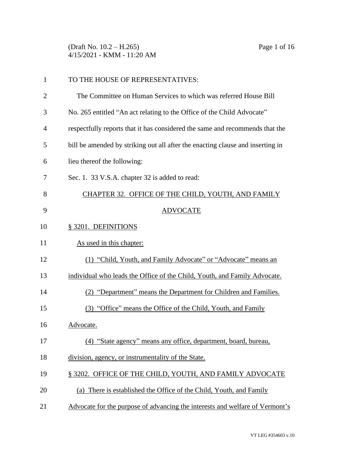(Draft No. 10.2 – H.265) Page 1 of 16 4/15/2021 - KMM - 11:20 AM

| $\mathbf{1}$   | TO THE HOUSE OF REPRESENTATIVES:                                               |
|----------------|--------------------------------------------------------------------------------|
| $\overline{2}$ | The Committee on Human Services to which was referred House Bill               |
| 3              | No. 265 entitled "An act relating to the Office of the Child Advocate"         |
| 4              | respectfully reports that it has considered the same and recommends that the   |
| 5              | bill be amended by striking out all after the enacting clause and inserting in |
| 6              | lieu thereof the following:                                                    |
| 7              | Sec. 1. 33 V.S.A. chapter 32 is added to read:                                 |
| 8              | CHAPTER 32. OFFICE OF THE CHILD, YOUTH, AND FAMILY                             |
| 9              | <b>ADVOCATE</b>                                                                |
| 10             | § 3201. DEFINITIONS                                                            |
| 11             | As used in this chapter:                                                       |
| 12             | (1) "Child, Youth, and Family Advocate" or "Advocate" means an                 |
| 13             | individual who leads the Office of the Child, Youth, and Family Advocate.      |
| 14             | (2) "Department" means the Department for Children and Families.               |
| 15             | (3) "Office" means the Office of the Child, Youth, and Family                  |
| 16             | Advocate.                                                                      |
| 17             | (4) "State agency" means any office, department, board, bureau,                |
| 18             | division, agency, or instrumentality of the State.                             |
| 19             | § 3202. OFFICE OF THE CHILD, YOUTH, AND FAMILY ADVOCATE                        |
| 20             | (a) There is established the Office of the Child, Youth, and Family            |
| 21             | Advocate for the purpose of advancing the interests and welfare of Vermont's   |
|                |                                                                                |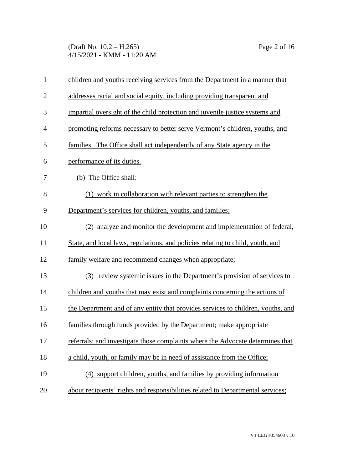(Draft No. 10.2 – H.265) Page 2 of 16 4/15/2021 - KMM - 11:20 AM

| $\mathbf{1}$   | children and youths receiving services from the Department in a manner that      |
|----------------|----------------------------------------------------------------------------------|
| $\overline{2}$ | addresses racial and social equity, including providing transparent and          |
| 3              | impartial oversight of the child protection and juvenile justice systems and     |
| $\overline{4}$ | promoting reforms necessary to better serve Vermont's children, youths, and      |
| 5              | families. The Office shall act independently of any State agency in the          |
| 6              | performance of its duties.                                                       |
| 7              | (b) The Office shall:                                                            |
| 8              | (1) work in collaboration with relevant parties to strengthen the                |
| 9              | Department's services for children, youths, and families;                        |
| 10             | (2) analyze and monitor the development and implementation of federal,           |
| 11             | State, and local laws, regulations, and policies relating to child, youth, and   |
| 12             | family welfare and recommend changes when appropriate;                           |
| 13             | review systemic issues in the Department's provision of services to<br>(3)       |
| 14             | children and youths that may exist and complaints concerning the actions of      |
| 15             | the Department and of any entity that provides services to children, youths, and |
| 16             | families through funds provided by the Department; make appropriate              |
| 17             | referrals; and investigate those complaints where the Advocate determines that   |
| 18             | a child, youth, or family may be in need of assistance from the Office;          |
| 19             | (4) support children, youths, and families by providing information              |
| 20             | about recipients' rights and responsibilities related to Departmental services;  |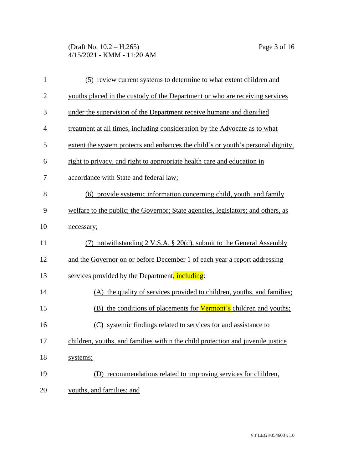(Draft No. 10.2 – H.265) Page 3 of 16 4/15/2021 - KMM - 11:20 AM

| $\mathbf{1}$   | (5) review current systems to determine to what extent children and              |
|----------------|----------------------------------------------------------------------------------|
| $\overline{2}$ | youths placed in the custody of the Department or who are receiving services     |
| 3              | under the supervision of the Department receive humane and dignified             |
| $\overline{4}$ | treatment at all times, including consideration by the Advocate as to what       |
| 5              | extent the system protects and enhances the child's or youth's personal dignity, |
| 6              | right to privacy, and right to appropriate health care and education in          |
| 7              | accordance with State and federal law;                                           |
| 8              | (6) provide systemic information concerning child, youth, and family             |
| 9              | welfare to the public; the Governor; State agencies, legislators; and others, as |
| 10             | necessary;                                                                       |
| 11             | (7) notwithstanding 2 V.S.A. § 20(d), submit to the General Assembly             |
| 12             | and the Governor on or before December 1 of each year a report addressing        |
| 13             | services provided by the Department, including:                                  |
| 14             | (A) the quality of services provided to children, youths, and families;          |
| 15             | (B) the conditions of placements for <b>Vermont's</b> children and youths;       |
| 16             | (C) systemic findings related to services for and assistance to                  |
| 17             | children, youths, and families within the child protection and juvenile justice  |
| 18             | systems;                                                                         |
| 19             | (D) recommendations related to improving services for children,                  |
| 20             | youths, and families; and                                                        |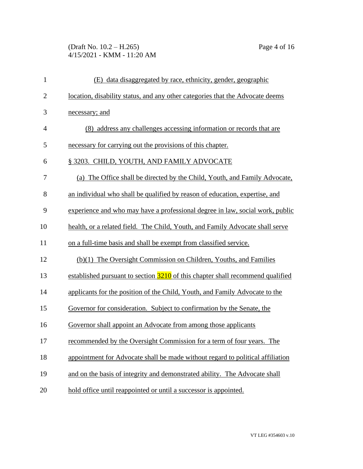## (Draft No. 10.2 – H.265) Page 4 of 16 4/15/2021 - KMM - 11:20 AM

| $\mathbf{1}$   | (E) data disaggregated by race, ethnicity, gender, geographic                               |
|----------------|---------------------------------------------------------------------------------------------|
| $\overline{2}$ | location, disability status, and any other categories that the Advocate deems               |
| 3              | necessary; and                                                                              |
| $\overline{4}$ | (8) address any challenges accessing information or records that are                        |
| 5              | necessary for carrying out the provisions of this chapter.                                  |
| 6              | § 3203. CHILD, YOUTH, AND FAMILY ADVOCATE                                                   |
| 7              | (a) The Office shall be directed by the Child, Youth, and Family Advocate,                  |
| 8              | an individual who shall be qualified by reason of education, expertise, and                 |
| 9              | experience and who may have a professional degree in law, social work, public               |
| 10             | health, or a related field. The Child, Youth, and Family Advocate shall serve               |
| 11             | on a full-time basis and shall be exempt from classified service.                           |
| 12             | (b)(1) The Oversight Commission on Children, Youths, and Families                           |
| 13             | established pursuant to section $\frac{3210}{10}$ of this chapter shall recommend qualified |
| 14             | applicants for the position of the Child, Youth, and Family Advocate to the                 |
| 15             | Governor for consideration. Subject to confirmation by the Senate, the                      |
| 16             | Governor shall appoint an Advocate from among those applicants                              |
| 17             | recommended by the Oversight Commission for a term of four years. The                       |
| 18             | appointment for Advocate shall be made without regard to political affiliation              |
| 19             | and on the basis of integrity and demonstrated ability. The Advocate shall                  |
| 20             | hold office until reappointed or until a successor is appointed.                            |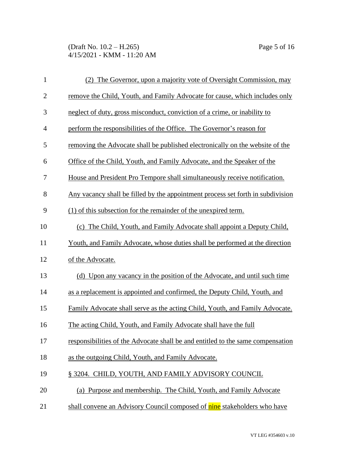(Draft No. 10.2 – H.265) Page 5 of 16 4/15/2021 - KMM - 11:20 AM

| $\mathbf{1}$   | (2) The Governor, upon a majority vote of Oversight Commission, may             |
|----------------|---------------------------------------------------------------------------------|
| $\overline{2}$ | remove the Child, Youth, and Family Advocate for cause, which includes only     |
| $\mathfrak{Z}$ | neglect of duty, gross misconduct, conviction of a crime, or inability to       |
| $\overline{4}$ | perform the responsibilities of the Office. The Governor's reason for           |
| 5              | removing the Advocate shall be published electronically on the website of the   |
| 6              | Office of the Child, Youth, and Family Advocate, and the Speaker of the         |
| 7              | House and President Pro Tempore shall simultaneously receive notification.      |
| 8              | Any vacancy shall be filled by the appointment process set forth in subdivision |
| 9              | (1) of this subsection for the remainder of the unexpired term.                 |
| 10             | (c) The Child, Youth, and Family Advocate shall appoint a Deputy Child,         |
| 11             | Youth, and Family Advocate, whose duties shall be performed at the direction    |
| 12             | of the Advocate.                                                                |
| 13             | (d) Upon any vacancy in the position of the Advocate, and until such time       |
| 14             | as a replacement is appointed and confirmed, the Deputy Child, Youth, and       |
| 15             | Family Advocate shall serve as the acting Child, Youth, and Family Advocate.    |
| 16             | The acting Child, Youth, and Family Advocate shall have the full                |
| 17             | responsibilities of the Advocate shall be and entitled to the same compensation |
| 18             | as the outgoing Child, Youth, and Family Advocate.                              |
| 19             | § 3204. CHILD, YOUTH, AND FAMILY ADVISORY COUNCIL                               |
| 20             | (a) Purpose and membership. The Child, Youth, and Family Advocate               |
| 21             | shall convene an Advisory Council composed of nine stakeholders who have        |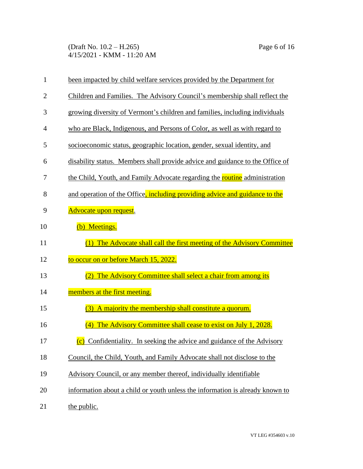(Draft No. 10.2 – H.265) Page 6 of 16 4/15/2021 - KMM - 11:20 AM

| $\mathbf{1}$   | been impacted by child welfare services provided by the Department for        |
|----------------|-------------------------------------------------------------------------------|
| $\overline{2}$ | Children and Families. The Advisory Council's membership shall reflect the    |
| 3              | growing diversity of Vermont's children and families, including individuals   |
| $\overline{4}$ | who are Black, Indigenous, and Persons of Color, as well as with regard to    |
| 5              | socioeconomic status, geographic location, gender, sexual identity, and       |
| 6              | disability status. Members shall provide advice and guidance to the Office of |
| 7              | the Child, Youth, and Family Advocate regarding the routine administration    |
| 8              | and operation of the Office, including providing advice and guidance to the   |
| 9              | Advocate upon request.                                                        |
| 10             | (b) Meetings.                                                                 |
| 11             | The Advocate shall call the first meeting of the Advisory Committee           |
|                |                                                                               |
| 12             | to occur on or before March 15, 2022.                                         |
| 13             | The Advisory Committee shall select a chair from among its<br>(2)             |
| 14             | members at the first meeting.                                                 |
| 15             | A majority the membership shall constitute a quorum.<br>(3)                   |
| 16             | The Advisory Committee shall cease to exist on July 1, 2028.<br>(4)           |
| 17             | (c) Confidentiality. In seeking the advice and guidance of the Advisory       |
| 18             | Council, the Child, Youth, and Family Advocate shall not disclose to the      |
| 19             | Advisory Council, or any member thereof, individually identifiable            |
| 20             | information about a child or youth unless the information is already known to |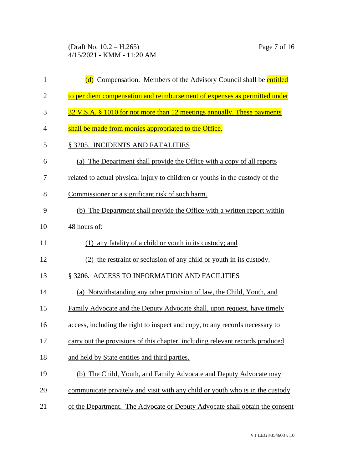(Draft No. 10.2 – H.265) Page 7 of 16 4/15/2021 - KMM - 11:20 AM

| $\mathbf{1}$   | (d) Compensation. Members of the Advisory Council shall be entitled           |
|----------------|-------------------------------------------------------------------------------|
| $\overline{2}$ | to per diem compensation and reimbursement of expenses as permitted under     |
| 3              | 32 V.S.A. § 1010 for not more than 12 meetings annually. These payments       |
| 4              | shall be made from monies appropriated to the Office.                         |
| 5              | § 3205. INCIDENTS AND FATALITIES                                              |
| 6              | (a) The Department shall provide the Office with a copy of all reports        |
| 7              | related to actual physical injury to children or youths in the custody of the |
| 8              | Commissioner or a significant risk of such harm.                              |
| 9              | (b) The Department shall provide the Office with a written report within      |
| 10             | 48 hours of:                                                                  |
| 11             | (1) any fatality of a child or youth in its custody; and                      |
| 12             | (2) the restraint or seclusion of any child or youth in its custody.          |
| 13             | § 3206. ACCESS TO INFORMATION AND FACILITIES                                  |
| 14             | (a) Notwithstanding any other provision of law, the Child, Youth, and         |
| 15             | Family Advocate and the Deputy Advocate shall, upon request, have timely      |
| 16             | access, including the right to inspect and copy, to any records necessary to  |
| 17             | carry out the provisions of this chapter, including relevant records produced |
| 18             | and held by State entities and third parties.                                 |
| 19             | (b) The Child, Youth, and Family Advocate and Deputy Advocate may             |
| 20             | communicate privately and visit with any child or youth who is in the custody |
| 21             | of the Department. The Advocate or Deputy Advocate shall obtain the consent   |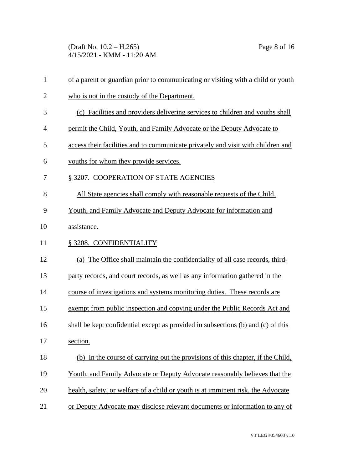(Draft No. 10.2 – H.265) Page 8 of 16 4/15/2021 - KMM - 11:20 AM

| $\mathbf{1}$   | of a parent or guardian prior to communicating or visiting with a child or youth |
|----------------|----------------------------------------------------------------------------------|
| $\overline{2}$ | who is not in the custody of the Department.                                     |
| 3              | (c) Facilities and providers delivering services to children and youths shall    |
| $\overline{4}$ | permit the Child, Youth, and Family Advocate or the Deputy Advocate to           |
| 5              | access their facilities and to communicate privately and visit with children and |
| 6              | youths for whom they provide services.                                           |
| 7              | § 3207. COOPERATION OF STATE AGENCIES                                            |
| 8              | All State agencies shall comply with reasonable requests of the Child,           |
| 9              | Youth, and Family Advocate and Deputy Advocate for information and               |
| 10             | assistance.                                                                      |
| 11             | § 3208. CONFIDENTIALITY                                                          |
| 12             | (a) The Office shall maintain the confidentiality of all case records, third-    |
| 13             | party records, and court records, as well as any information gathered in the     |
| 14             | course of investigations and systems monitoring duties. These records are        |
| 15             | exempt from public inspection and copying under the Public Records Act and       |
| 16             | shall be kept confidential except as provided in subsections (b) and (c) of this |
| 17             | section.                                                                         |
| 18             | (b) In the course of carrying out the provisions of this chapter, if the Child,  |
| 19             | Youth, and Family Advocate or Deputy Advocate reasonably believes that the       |
| 20             | health, safety, or welfare of a child or youth is at imminent risk, the Advocate |
| 21             | or Deputy Advocate may disclose relevant documents or information to any of      |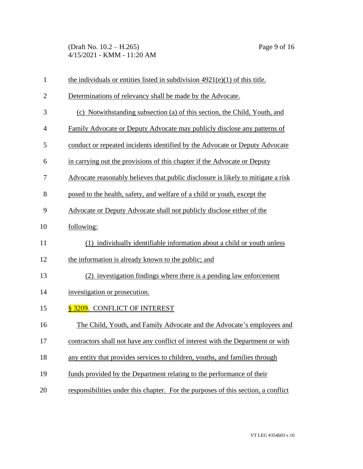(Draft No. 10.2 – H.265) Page 9 of 16 4/15/2021 - KMM - 11:20 AM

| $\mathbf{1}$ | the individuals or entities listed in subdivision $4921(e)(1)$ of this title.     |
|--------------|-----------------------------------------------------------------------------------|
| $\mathbf{2}$ | Determinations of relevancy shall be made by the Advocate.                        |
| 3            | (c) Notwithstanding subsection (a) of this section, the Child, Youth, and         |
| 4            | <b>Family Advocate or Deputy Advocate may publicly disclose any patterns of</b>   |
| 5            | conduct or repeated incidents identified by the Advocate or Deputy Advocate       |
| 6            | in carrying out the provisions of this chapter if the Advocate or Deputy          |
| 7            | Advocate reasonably believes that public disclosure is likely to mitigate a risk  |
| 8            | posed to the health, safety, and welfare of a child or youth, except the          |
| 9            | Advocate or Deputy Advocate shall not publicly disclose either of the             |
| 10           | following:                                                                        |
| 11           | (1) individually identifiable information about a child or youth unless           |
| 12           | the information is already known to the public; and                               |
| 13           | (2) investigation findings where there is a pending law enforcement               |
| 14           | investigation or prosecution.                                                     |
| 15           | § 3209. CONFLICT OF INTEREST                                                      |
| 16           | The Child, Youth, and Family Advocate and the Advocate's employees and            |
| 17           | contractors shall not have any conflict of interest with the Department or with   |
| 18           | any entity that provides services to children, youths, and families through       |
| 19           | funds provided by the Department relating to the performance of their             |
| 20           | responsibilities under this chapter. For the purposes of this section, a conflict |
|              |                                                                                   |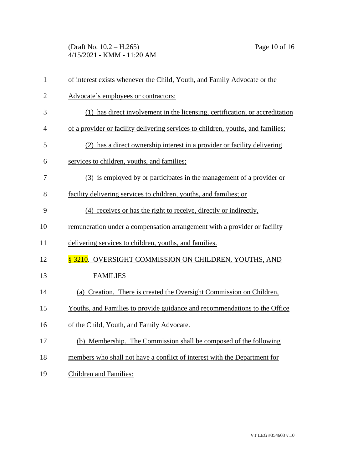(Draft No. 10.2 – H.265) Page 10 of 16 4/15/2021 - KMM - 11:20 AM

| $\mathbf{1}$   | of interest exists whenever the Child, Youth, and Family Advocate or the         |
|----------------|----------------------------------------------------------------------------------|
| $\overline{2}$ | Advocate's employees or contractors:                                             |
| 3              | (1) has direct involvement in the licensing, certification, or accreditation     |
| 4              | of a provider or facility delivering services to children, youths, and families; |
| 5              | (2) has a direct ownership interest in a provider or facility delivering         |
| 6              | services to children, youths, and families;                                      |
| 7              | (3) is employed by or participates in the management of a provider or            |
| 8              | facility delivering services to children, youths, and families; or               |
| 9              | (4) receives or has the right to receive, directly or indirectly,                |
| 10             | remuneration under a compensation arrangement with a provider or facility        |
| 11             | delivering services to children, youths, and families.                           |
| 12             | § 3210. OVERSIGHT COMMISSION ON CHILDREN, YOUTHS, AND                            |
| 13             | <b>FAMILIES</b>                                                                  |
| 14             | (a) Creation. There is created the Oversight Commission on Children,             |
| 15             | Youths, and Families to provide guidance and recommendations to the Office       |
| 16             | of the Child, Youth, and Family Advocate.                                        |
| 17             | (b) Membership. The Commission shall be composed of the following                |
| 18             | members who shall not have a conflict of interest with the Department for        |
| 19             | <b>Children and Families:</b>                                                    |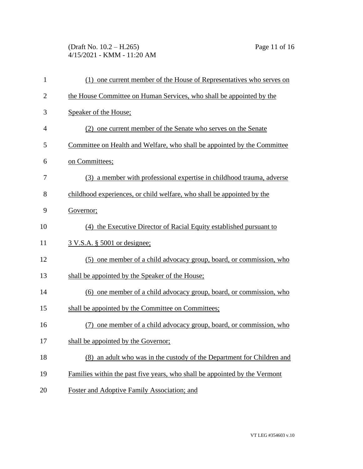(Draft No. 10.2 – H.265) Page 11 of 16 4/15/2021 - KMM - 11:20 AM

| $\mathbf{1}$   | (1) one current member of the House of Representatives who serves on       |
|----------------|----------------------------------------------------------------------------|
| $\overline{2}$ | the House Committee on Human Services, who shall be appointed by the       |
| 3              | Speaker of the House;                                                      |
| 4              | (2) one current member of the Senate who serves on the Senate              |
| 5              | Committee on Health and Welfare, who shall be appointed by the Committee   |
| 6              | on Committees;                                                             |
| 7              | (3) a member with professional expertise in childhood trauma, adverse      |
| 8              | childhood experiences, or child welfare, who shall be appointed by the     |
| 9              | Governor;                                                                  |
| 10             | (4) the Executive Director of Racial Equity established pursuant to        |
| 11             | <u>3 V.S.A. § 5001 or designee;</u>                                        |
| 12             | (5) one member of a child advocacy group, board, or commission, who        |
| 13             | shall be appointed by the Speaker of the House;                            |
| 14             | (6) one member of a child advocacy group, board, or commission, who        |
| 15             | shall be appointed by the Committee on Committees;                         |
| 16             | one member of a child advocacy group, board, or commission, who            |
| 17             | shall be appointed by the Governor;                                        |
| 18             | an adult who was in the custody of the Department for Children and<br>(8)  |
| 19             | Families within the past five years, who shall be appointed by the Vermont |
| 20             | Foster and Adoptive Family Association; and                                |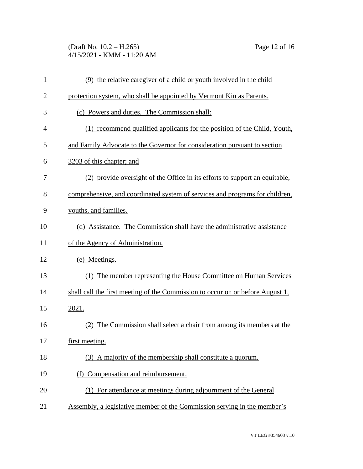(Draft No. 10.2 – H.265) Page 12 of 16 4/15/2021 - KMM - 11:20 AM

| $\mathbf{1}$   | (9) the relative caregiver of a child or youth involved in the child           |
|----------------|--------------------------------------------------------------------------------|
| $\overline{2}$ | protection system, who shall be appointed by Vermont Kin as Parents.           |
| 3              | (c) Powers and duties. The Commission shall:                                   |
| 4              | (1) recommend qualified applicants for the position of the Child, Youth,       |
| 5              | and Family Advocate to the Governor for consideration pursuant to section      |
| 6              | 3203 of this chapter; and                                                      |
| 7              | (2) provide oversight of the Office in its efforts to support an equitable,    |
| 8              | comprehensive, and coordinated system of services and programs for children,   |
| 9              | youths, and families.                                                          |
| 10             | (d) Assistance. The Commission shall have the administrative assistance        |
| 11             | of the Agency of Administration.                                               |
| 12             | (e) Meetings.                                                                  |
| 13             | (1) The member representing the House Committee on Human Services              |
| 14             | shall call the first meeting of the Commission to occur on or before August 1, |
| 15             | 2021.                                                                          |
| 16             | The Commission shall select a chair from among its members at the<br>(2)       |
| 17             | first meeting.                                                                 |
| 18             | (3) A majority of the membership shall constitute a quorum.                    |
| 19             | (f) Compensation and reimbursement.                                            |
| 20             | (1) For attendance at meetings during adjournment of the General               |
| 21             | Assembly, a legislative member of the Commission serving in the member's       |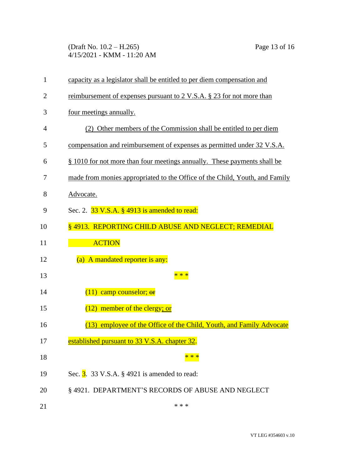(Draft No. 10.2 – H.265) Page 13 of 16 4/15/2021 - KMM - 11:20 AM

| $\mathbf{1}$   | capacity as a legislator shall be entitled to per diem compensation and     |
|----------------|-----------------------------------------------------------------------------|
| $\overline{2}$ | reimbursement of expenses pursuant to 2 V.S.A. § 23 for not more than       |
| 3              | four meetings annually.                                                     |
| 4              | (2) Other members of the Commission shall be entitled to per diem           |
| 5              | compensation and reimbursement of expenses as permitted under 32 V.S.A.     |
| 6              | § 1010 for not more than four meetings annually. These payments shall be    |
| 7              | made from monies appropriated to the Office of the Child, Youth, and Family |
| 8              | Advocate.                                                                   |
| 9              | Sec. 2. 33 V.S.A. § 4913 is amended to read:                                |
| 10             | § 4913. REPORTING CHILD ABUSE AND NEGLECT; REMEDIAL                         |
| 11             | <b>ACTION</b>                                                               |
| 12             | (a) A mandated reporter is any:                                             |
| 13             | * * *                                                                       |
| 14             | $(11)$ camp counselor; $\Theta$                                             |
| 15             | $(12)$ member of the clergy; or                                             |
| 16             | (13) employee of the Office of the Child, Youth, and Family Advocate        |
| 17             | established pursuant to 33 V.S.A. chapter 32.                               |
| 18             |                                                                             |
| 19             | Sec. $3.33$ V.S.A. § 4921 is amended to read:                               |
| 20             | §4921. DEPARTMENT'S RECORDS OF ABUSE AND NEGLECT                            |
| 21             | * * *                                                                       |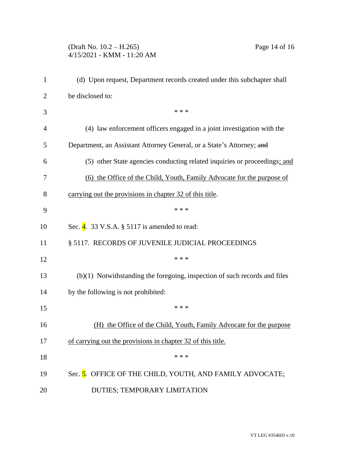## (Draft No. 10.2 – H.265) Page 14 of 16 4/15/2021 - KMM - 11:20 AM

| 1              | (d) Upon request, Department records created under this subchapter shall     |  |  |
|----------------|------------------------------------------------------------------------------|--|--|
| $\overline{2}$ | be disclosed to:                                                             |  |  |
| 3              | * * *                                                                        |  |  |
| 4              | (4) law enforcement officers engaged in a joint investigation with the       |  |  |
| 5              | Department, an Assistant Attorney General, or a State's Attorney; and        |  |  |
| 6              | (5) other State agencies conducting related inquiries or proceedings; and    |  |  |
| 7              | (6) the Office of the Child, Youth, Family Advocate for the purpose of       |  |  |
| 8              | carrying out the provisions in chapter 32 of this title.                     |  |  |
| 9              | * * *                                                                        |  |  |
| 10             | Sec. $\frac{4}{9}$ . 33 V.S.A. § 5117 is amended to read:                    |  |  |
| 11             | § 5117. RECORDS OF JUVENILE JUDICIAL PROCEEDINGS                             |  |  |
| 12             | * * *                                                                        |  |  |
| 13             | $(b)(1)$ Notwithstanding the foregoing, inspection of such records and files |  |  |
| 14             | by the following is not prohibited:                                          |  |  |
| 15             | * * *                                                                        |  |  |
| 16             | (H) the Office of the Child, Youth, Family Advocate for the purpose          |  |  |
| 17             | of carrying out the provisions in chapter 32 of this title.                  |  |  |
| 18             | * * *                                                                        |  |  |
| 19             | Sec. 5. OFFICE OF THE CHILD, YOUTH, AND FAMILY ADVOCATE;                     |  |  |
| 20             | DUTIES; TEMPORARY LIMITATION                                                 |  |  |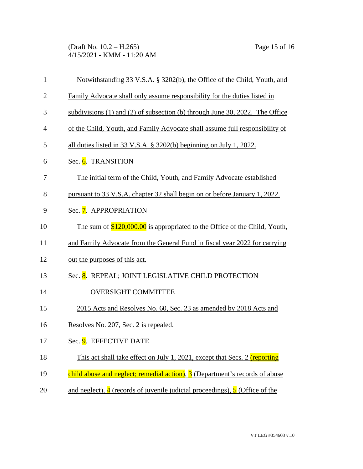(Draft No. 10.2 – H.265) Page 15 of 16 4/15/2021 - KMM - 11:20 AM

| $\mathbf{1}$   | Notwithstanding 33 V.S.A. § 3202(b), the Office of the Child, Youth, and                             |  |
|----------------|------------------------------------------------------------------------------------------------------|--|
| $\overline{2}$ | Family Advocate shall only assume responsibility for the duties listed in                            |  |
| 3              | subdivisions (1) and (2) of subsection (b) through June 30, 2022. The Office                         |  |
| 4              | of the Child, Youth, and Family Advocate shall assume full responsibility of                         |  |
| 5              | all duties listed in 33 V.S.A. $\S$ 3202(b) beginning on July 1, 2022.                               |  |
| 6              | Sec. 6. TRANSITION                                                                                   |  |
| 7              | The initial term of the Child, Youth, and Family Advocate established                                |  |
| 8              | pursuant to 33 V.S.A. chapter 32 shall begin on or before January 1, 2022.                           |  |
| 9              | Sec. 7. APPROPRIATION                                                                                |  |
| 10             | The sum of $$120,000.00$ is appropriated to the Office of the Child, Youth,                          |  |
| 11             | and Family Advocate from the General Fund in fiscal year 2022 for carrying                           |  |
| 12             | out the purposes of this act.                                                                        |  |
| 13             | Sec. 8. REPEAL; JOINT LEGISLATIVE CHILD PROTECTION                                                   |  |
| 14             | <b>OVERSIGHT COMMITTEE</b>                                                                           |  |
| 15             | 2015 Acts and Resolves No. 60, Sec. 23 as amended by 2018 Acts and                                   |  |
| 16             | Resolves No. 207, Sec. 2 is repealed.                                                                |  |
| 17             | Sec. 9. EFFECTIVE DATE                                                                               |  |
| 18             | This act shall take effect on July 1, 2021, except that Secs. 2 (reporting                           |  |
| 19             | child abuse and neglect; remedial action), 3 (Department's records of abuse                          |  |
| 20             | and neglect), $\frac{4}{3}$ (records of juvenile judicial proceedings), $\frac{5}{3}$ (Office of the |  |